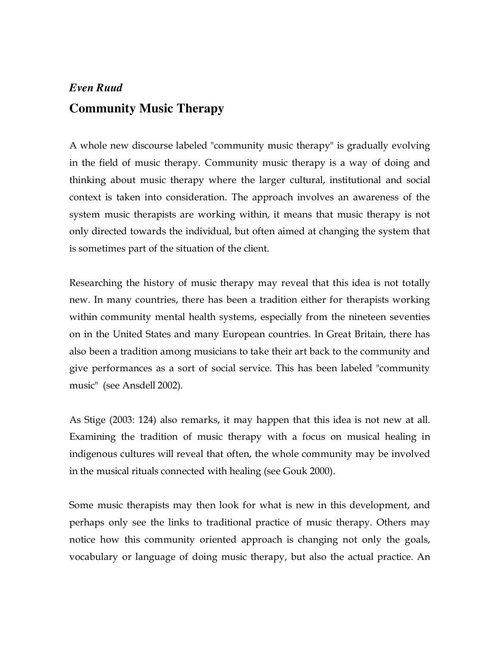# *Even Ruud* **Community Music Therapy**

A whole new discourse labeled "community music therapy" is gradually evolving in the field of music therapy. Community music therapy is a way of doing and thinking about music therapy where the larger cultural, institutional and social context is taken into consideration. The approach involves an awareness of the system music therapists are working within, it means that music therapy is not only directed towards the individual, but often aimed at changing the system that is sometimes part of the situation of the client.

Researching the history of music therapy may reveal that this idea is not totally new. In many countries, there has been a tradition either for therapists working within community mental health systems, especially from the nineteen seventies on in the United States and many European countries. In Great Britain, there has also been a tradition among musicians to take their art back to the community and give performances as a sort of social service. This has been labeled "community music" (see Ansdell 2002).

As Stige (2003: 124) also remarks, it may happen that this idea is not new at all. Examining the tradition of music therapy with a focus on musical healing in indigenous cultures will reveal that often, the whole community may be involved in the musical rituals connected with healing (see Gouk 2000).

Some music therapists may then look for what is new in this development, and perhaps only see the links to traditional practice of music therapy. Others may notice how this community oriented approach is changing not only the goals, vocabulary or language of doing music therapy, but also the actual practice. An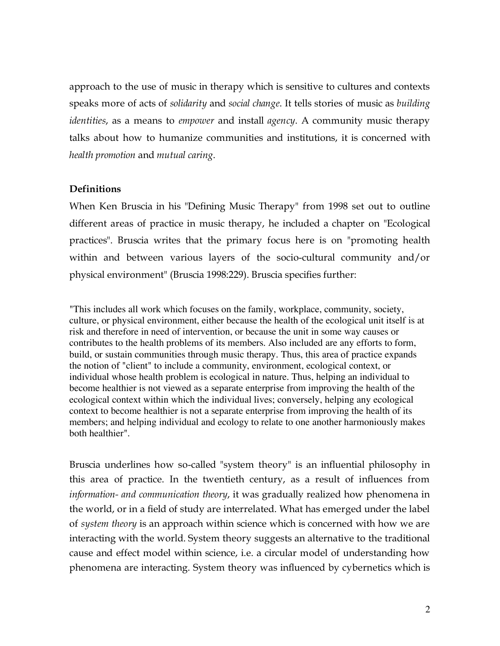approach to the use of music in therapy which is sensitive to cultures and contexts speaks more of acts of *solidarity* and *social change*. It tells stories of music as *building identities*, as a means to *empower* and install *agency*. A community music therapy talks about how to humanize communities and institutions, it is concerned with *health promotion* and *mutual caring*.

# **Definitions**

When Ken Bruscia in his "Defining Music Therapy" from 1998 set out to outline different areas of practice in music therapy, he included a chapter on "Ecological practices". Bruscia writes that the primary focus here is on "promoting health within and between various layers of the socio-cultural community and/or physical environment" (Bruscia 1998:229). Bruscia specifies further:

"This includes all work which focuses on the family, workplace, community, society, culture, or physical environment, either because the health of the ecological unit itself is at risk and therefore in need of intervention, or because the unit in some way causes or contributes to the health problems of its members. Also included are any efforts to form, build, or sustain communities through music therapy. Thus, this area of practice expands the notion of "client" to include a community, environment, ecological context, or individual whose health problem is ecological in nature. Thus, helping an individual to become healthier is not viewed as a separate enterprise from improving the health of the ecological context within which the individual lives; conversely, helping any ecological context to become healthier is not a separate enterprise from improving the health of its members; and helping individual and ecology to relate to one another harmoniously makes both healthier".

Bruscia underlines how so-called "system theory" is an influential philosophy in this area of practice. In the twentieth century, as a result of influences from *information- and communication theory*, it was gradually realized how phenomena in the world, or in a field of study are interrelated. What has emerged under the label of *system theory* is an approach within science which is concerned with how we are interacting with the world. System theory suggests an alternative to the traditional cause and effect model within science, i.e. a circular model of understanding how phenomena are interacting. System theory was influenced by cybernetics which is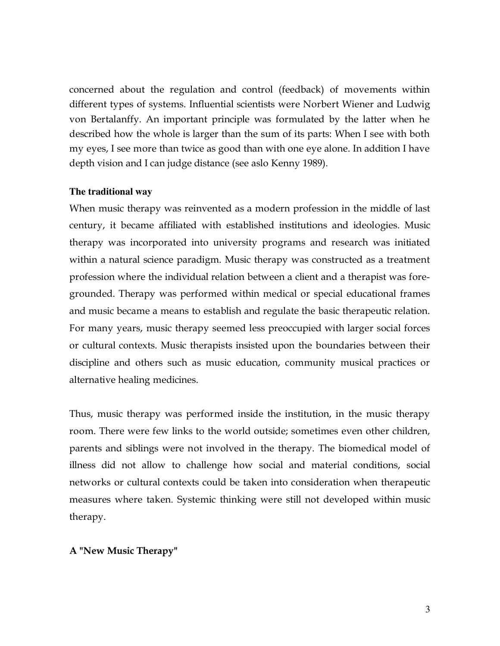concerned about the regulation and control (feedback) of movements within different types of systems. Influential scientists were Norbert Wiener and Ludwig von Bertalanffy. An important principle was formulated by the latter when he described how the whole is larger than the sum of its parts: When I see with both my eyes, I see more than twice as good than with one eye alone. In addition I have depth vision and I can judge distance (see aslo Kenny 1989).

#### **The traditional way**

When music therapy was reinvented as a modern profession in the middle of last century, it became affiliated with established institutions and ideologies. Music therapy was incorporated into university programs and research was initiated within a natural science paradigm. Music therapy was constructed as a treatment profession where the individual relation between a client and a therapist was foregrounded. Therapy was performed within medical or special educational frames and music became a means to establish and regulate the basic therapeutic relation. For many years, music therapy seemed less preoccupied with larger social forces or cultural contexts. Music therapists insisted upon the boundaries between their discipline and others such as music education, community musical practices or alternative healing medicines.

Thus, music therapy was performed inside the institution, in the music therapy room. There were few links to the world outside; sometimes even other children, parents and siblings were not involved in the therapy. The biomedical model of illness did not allow to challenge how social and material conditions, social networks or cultural contexts could be taken into consideration when therapeutic measures where taken. Systemic thinking were still not developed within music therapy.

# **A "New Music Therapy"**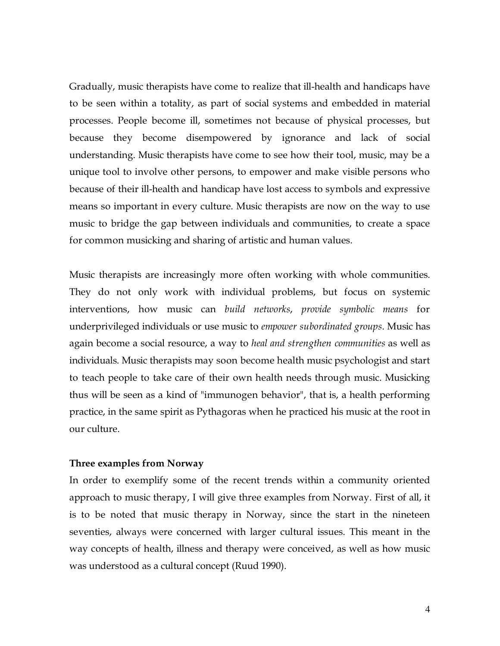Gradually, music therapists have come to realize that ill-health and handicaps have to be seen within a totality, as part of social systems and embedded in material processes. People become ill, sometimes not because of physical processes, but because they become disempowered by ignorance and lack of social understanding. Music therapists have come to see how their tool, music, may be a unique tool to involve other persons, to empower and make visible persons who because of their ill-health and handicap have lost access to symbols and expressive means so important in every culture. Music therapists are now on the way to use music to bridge the gap between individuals and communities, to create a space for common musicking and sharing of artistic and human values.

Music therapists are increasingly more often working with whole communities. They do not only work with individual problems, but focus on systemic interventions, how music can *build networks*, *provide symbolic means* for underprivileged individuals or use music to *empower subordinated groups*. Music has again become a social resource, a way to *heal and strengthen communities* as well as individuals. Music therapists may soon become health music psychologist and start to teach people to take care of their own health needs through music. Musicking thus will be seen as a kind of "immunogen behavior", that is, a health performing practice, in the same spirit as Pythagoras when he practiced his music at the root in our culture.

#### **Three examples from Norway**

In order to exemplify some of the recent trends within a community oriented approach to music therapy, I will give three examples from Norway. First of all, it is to be noted that music therapy in Norway, since the start in the nineteen seventies, always were concerned with larger cultural issues. This meant in the way concepts of health, illness and therapy were conceived, as well as how music was understood as a cultural concept (Ruud 1990).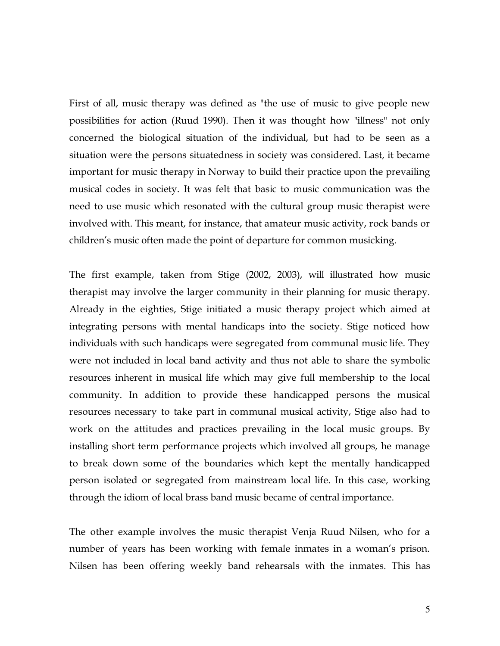First of all, music therapy was defined as "the use of music to give people new possibilities for action (Ruud 1990). Then it was thought how "illness" not only concerned the biological situation of the individual, but had to be seen as a situation were the persons situatedness in society was considered. Last, it became important for music therapy in Norway to build their practice upon the prevailing musical codes in society. It was felt that basic to music communication was the need to use music which resonated with the cultural group music therapist were involved with. This meant, for instance, that amateur music activity, rock bands or children's music often made the point of departure for common musicking.

The first example, taken from Stige (2002, 2003), will illustrated how music therapist may involve the larger community in their planning for music therapy. Already in the eighties, Stige initiated a music therapy project which aimed at integrating persons with mental handicaps into the society. Stige noticed how individuals with such handicaps were segregated from communal music life. They were not included in local band activity and thus not able to share the symbolic resources inherent in musical life which may give full membership to the local community. In addition to provide these handicapped persons the musical resources necessary to take part in communal musical activity, Stige also had to work on the attitudes and practices prevailing in the local music groups. By installing short term performance projects which involved all groups, he manage to break down some of the boundaries which kept the mentally handicapped person isolated or segregated from mainstream local life. In this case, working through the idiom of local brass band music became of central importance.

The other example involves the music therapist Venja Ruud Nilsen, who for a number of years has been working with female inmates in a woman's prison. Nilsen has been offering weekly band rehearsals with the inmates. This has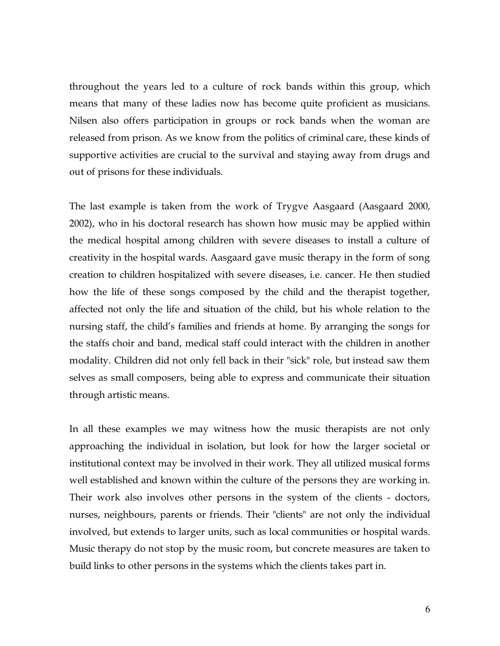throughout the years led to a culture of rock bands within this group, which means that many of these ladies now has become quite proficient as musicians. Nilsen also offers participation in groups or rock bands when the woman are released from prison. As we know from the politics of criminal care, these kinds of supportive activities are crucial to the survival and staying away from drugs and out of prisons for these individuals.

The last example is taken from the work of Trygve Aasgaard (Aasgaard 2000, 2002), who in his doctoral research has shown how music may be applied within the medical hospital among children with severe diseases to install a culture of creativity in the hospital wards. Aasgaard gave music therapy in the form of song creation to children hospitalized with severe diseases, i.e. cancer. He then studied how the life of these songs composed by the child and the therapist together, affected not only the life and situation of the child, but his whole relation to the nursing staff, the child's families and friends at home. By arranging the songs for the staffs choir and band, medical staff could interact with the children in another modality. Children did not only fell back in their "sick" role, but instead saw them selves as small composers, being able to express and communicate their situation through artistic means.

In all these examples we may witness how the music therapists are not only approaching the individual in isolation, but look for how the larger societal or institutional context may be involved in their work. They all utilized musical forms well established and known within the culture of the persons they are working in. Their work also involves other persons in the system of the clients - doctors, nurses, neighbours, parents or friends. Their "clients" are not only the individual involved, but extends to larger units, such as local communities or hospital wards. Music therapy do not stop by the music room, but concrete measures are taken to build links to other persons in the systems which the clients takes part in.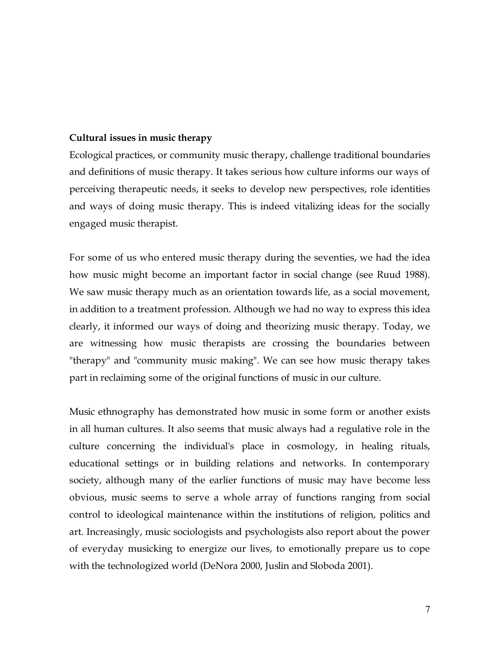### **Cultural issues in music therapy**

Ecological practices, or community music therapy, challenge traditional boundaries and definitions of music therapy. It takes serious how culture informs our ways of perceiving therapeutic needs, it seeks to develop new perspectives, role identities and ways of doing music therapy. This is indeed vitalizing ideas for the socially engaged music therapist.

For some of us who entered music therapy during the seventies, we had the idea how music might become an important factor in social change (see Ruud 1988). We saw music therapy much as an orientation towards life, as a social movement, in addition to a treatment profession. Although we had no way to express this idea clearly, it informed our ways of doing and theorizing music therapy. Today, we are witnessing how music therapists are crossing the boundaries between "therapy" and "community music making". We can see how music therapy takes part in reclaiming some of the original functions of music in our culture.

Music ethnography has demonstrated how music in some form or another exists in all human cultures. It also seems that music always had a regulative role in the culture concerning the individual's place in cosmology, in healing rituals, educational settings or in building relations and networks. In contemporary society, although many of the earlier functions of music may have become less obvious, music seems to serve a whole array of functions ranging from social control to ideological maintenance within the institutions of religion, politics and art. Increasingly, music sociologists and psychologists also report about the power of everyday musicking to energize our lives, to emotionally prepare us to cope with the technologized world (DeNora 2000, Juslin and Sloboda 2001).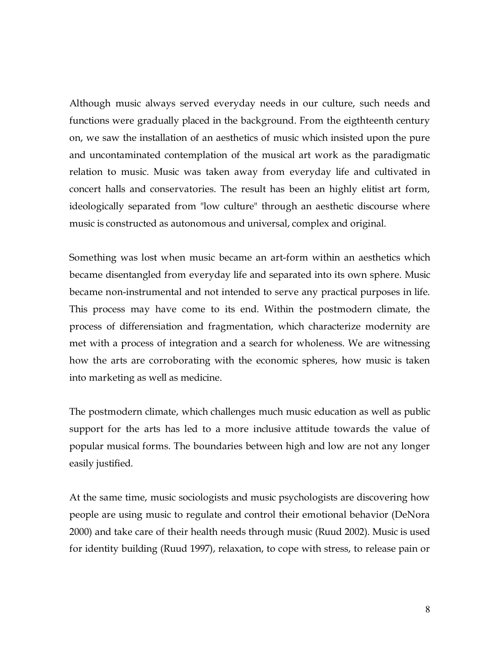Although music always served everyday needs in our culture, such needs and functions were gradually placed in the background. From the eigthteenth century on, we saw the installation of an aesthetics of music which insisted upon the pure and uncontaminated contemplation of the musical art work as the paradigmatic relation to music. Music was taken away from everyday life and cultivated in concert halls and conservatories. The result has been an highly elitist art form, ideologically separated from "low culture" through an aesthetic discourse where music is constructed as autonomous and universal, complex and original.

Something was lost when music became an art-form within an aesthetics which became disentangled from everyday life and separated into its own sphere. Music became non-instrumental and not intended to serve any practical purposes in life. This process may have come to its end. Within the postmodern climate, the process of differensiation and fragmentation, which characterize modernity are met with a process of integration and a search for wholeness. We are witnessing how the arts are corroborating with the economic spheres, how music is taken into marketing as well as medicine.

The postmodern climate, which challenges much music education as well as public support for the arts has led to a more inclusive attitude towards the value of popular musical forms. The boundaries between high and low are not any longer easily justified.

At the same time, music sociologists and music psychologists are discovering how people are using music to regulate and control their emotional behavior (DeNora 2000) and take care of their health needs through music (Ruud 2002). Music is used for identity building (Ruud 1997), relaxation, to cope with stress, to release pain or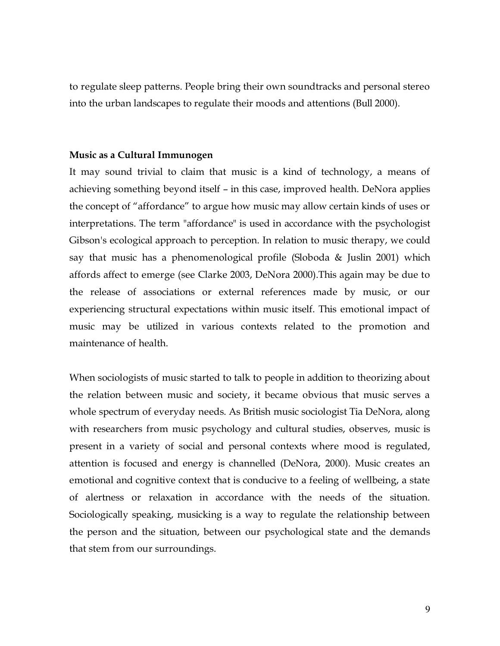to regulate sleep patterns. People bring their own soundtracks and personal stereo into the urban landscapes to regulate their moods and attentions (Bull 2000).

#### **Music as a Cultural Immunogen**

It may sound trivial to claim that music is a kind of technology, a means of achieving something beyond itself – in this case, improved health. DeNora applies the concept of "affordance" to argue how music may allow certain kinds of uses or interpretations. The term "affordance" is used in accordance with the psychologist Gibson's ecological approach to perception. In relation to music therapy, we could say that music has a phenomenological profile (Sloboda & Juslin 2001) which affords affect to emerge (see Clarke 2003, DeNora 2000).This again may be due to the release of associations or external references made by music, or our experiencing structural expectations within music itself. This emotional impact of music may be utilized in various contexts related to the promotion and maintenance of health.

When sociologists of music started to talk to people in addition to theorizing about the relation between music and society, it became obvious that music serves a whole spectrum of everyday needs. As British music sociologist Tia DeNora, along with researchers from music psychology and cultural studies, observes, music is present in a variety of social and personal contexts where mood is regulated, attention is focused and energy is channelled (DeNora, 2000). Music creates an emotional and cognitive context that is conducive to a feeling of wellbeing, a state of alertness or relaxation in accordance with the needs of the situation. Sociologically speaking, musicking is a way to regulate the relationship between the person and the situation, between our psychological state and the demands that stem from our surroundings.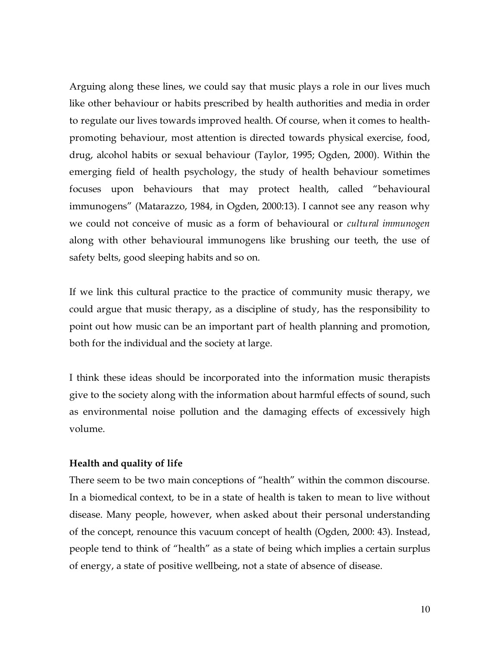Arguing along these lines, we could say that music plays a role in our lives much like other behaviour or habits prescribed by health authorities and media in order to regulate our lives towards improved health. Of course, when it comes to healthpromoting behaviour, most attention is directed towards physical exercise, food, drug, alcohol habits or sexual behaviour (Taylor, 1995; Ogden, 2000). Within the emerging field of health psychology, the study of health behaviour sometimes focuses upon behaviours that may protect health, called "behavioural immunogens" (Matarazzo, 1984, in Ogden, 2000:13). I cannot see any reason why we could not conceive of music as a form of behavioural or *cultural immunogen* along with other behavioural immunogens like brushing our teeth, the use of safety belts, good sleeping habits and so on.

If we link this cultural practice to the practice of community music therapy, we could argue that music therapy, as a discipline of study, has the responsibility to point out how music can be an important part of health planning and promotion, both for the individual and the society at large.

I think these ideas should be incorporated into the information music therapists give to the society along with the information about harmful effects of sound, such as environmental noise pollution and the damaging effects of excessively high volume.

# **Health and quality of life**

There seem to be two main conceptions of "health" within the common discourse. In a biomedical context, to be in a state of health is taken to mean to live without disease. Many people, however, when asked about their personal understanding of the concept, renounce this vacuum concept of health (Ogden, 2000: 43). Instead, people tend to think of "health" as a state of being which implies a certain surplus of energy, a state of positive wellbeing, not a state of absence of disease.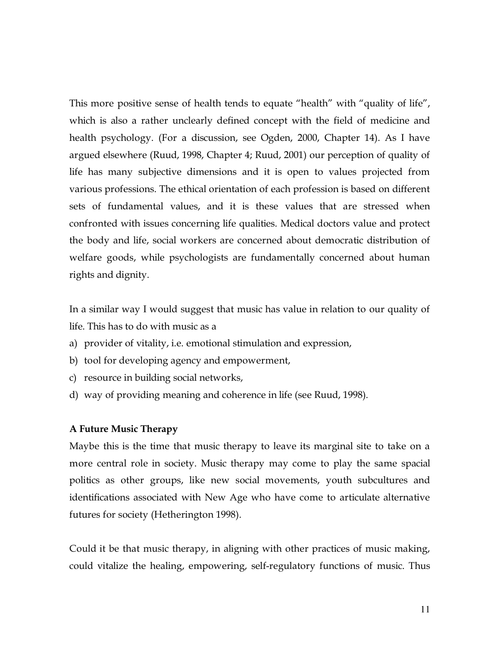This more positive sense of health tends to equate "health" with "quality of life", which is also a rather unclearly defined concept with the field of medicine and health psychology. (For a discussion, see Ogden, 2000, Chapter 14). As I have argued elsewhere (Ruud, 1998, Chapter 4; Ruud, 2001) our perception of quality of life has many subjective dimensions and it is open to values projected from various professions. The ethical orientation of each profession is based on different sets of fundamental values, and it is these values that are stressed when confronted with issues concerning life qualities. Medical doctors value and protect the body and life, social workers are concerned about democratic distribution of welfare goods, while psychologists are fundamentally concerned about human rights and dignity.

In a similar way I would suggest that music has value in relation to our quality of life. This has to do with music as a

- a) provider of vitality, i.e. emotional stimulation and expression,
- b) tool for developing agency and empowerment,
- c) resource in building social networks,
- d) way of providing meaning and coherence in life (see Ruud, 1998).

#### **A Future Music Therapy**

Maybe this is the time that music therapy to leave its marginal site to take on a more central role in society. Music therapy may come to play the same spacial politics as other groups, like new social movements, youth subcultures and identifications associated with New Age who have come to articulate alternative futures for society (Hetherington 1998).

Could it be that music therapy, in aligning with other practices of music making, could vitalize the healing, empowering, self-regulatory functions of music. Thus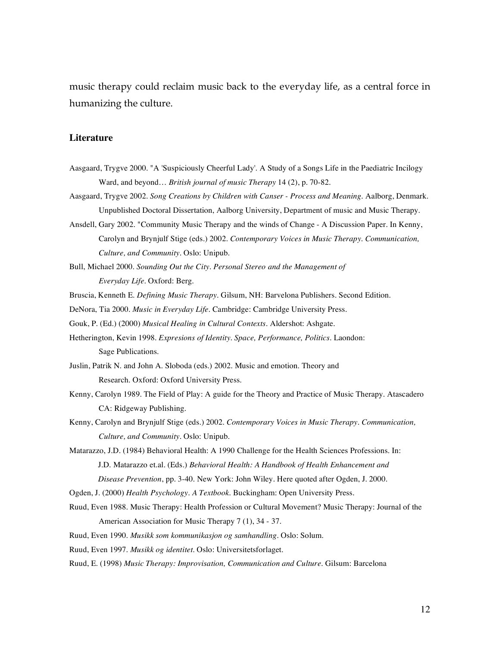music therapy could reclaim music back to the everyday life, as a central force in humanizing the culture.

#### **Literature**

- Aasgaard, Trygve 2000. "A 'Suspiciously Cheerful Lady'. A Study of a Songs Life in the Paediatric Incilogy Ward, and beyond… *British journal of music Therapy* 14 (2), p. 70-82.
- Aasgaard, Trygve 2002. *Song Creations by Children with Canser - Process and Meaning*. Aalborg, Denmark. Unpublished Doctoral Dissertation, Aalborg University, Department of music and Music Therapy.
- Ansdell, Gary 2002. "Community Music Therapy and the winds of Change A Discussion Paper. In Kenny, Carolyn and Brynjulf Stige (eds.) 2002. *Contemporary Voices in Music Therapy. Communication, Culture, and Community*. Oslo: Unipub.
- Bull, Michael 2000*. Sounding Out the City. Personal Stereo and the Management of Everyday Life*. Oxford: Berg.
- Bruscia, Kenneth E. *Defining Music Therapy*. Gilsum, NH: Barvelona Publishers. Second Edition.
- DeNora, Tia 2000. *Music in Everyday Life*. Cambridge: Cambridge University Press.
- Gouk, P. (Ed.) (2000) *Musical Healing in Cultural Contexts*. Aldershot: Ashgate.
- Hetherington, Kevin 1998. *Expresions of Identity. Space, Performance, Politics*. Laondon: Sage Publications.
- Juslin, Patrik N. and John A. Sloboda (eds.) 2002. Music and emotion. Theory and Research. Oxford: Oxford University Press.
- Kenny, Carolyn 1989. The Field of Play: A guide for the Theory and Practice of Music Therapy. Atascadero CA: Ridgeway Publishing.
- Kenny, Carolyn and Brynjulf Stige (eds.) 2002. *Contemporary Voices in Music Therapy. Communication, Culture, and Community*. Oslo: Unipub.
- Matarazzo, J.D. (1984) Behavioral Health: A 1990 Challenge for the Health Sciences Professions. In: J.D. Matarazzo et.al. (Eds.) *Behavioral Health: A Handbook of Health Enhancement and Disease Prevention*, pp. 3-40. New York: John Wiley. Here quoted after Ogden, J. 2000.
- Ogden, J. (2000) *Health Psychology. A Textbook*. Buckingham: Open University Press.
- Ruud, Even 1988. Music Therapy: Health Profession or Cultural Movement? Music Therapy: Journal of the American Association for Music Therapy 7 (1), 34 - 37.
- Ruud, Even 1990. *Musikk som kommunikasjon og samhandling*. Oslo: Solum.
- Ruud, Even 1997. *Musikk og identitet*. Oslo: Universitetsforlaget.
- Ruud, E. (1998) *Music Therapy: Improvisation, Communication and Culture*. Gilsum: Barcelona